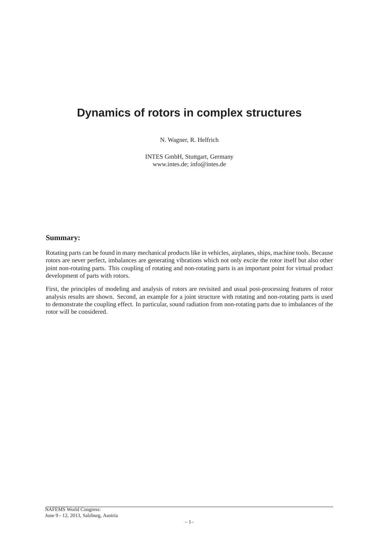# **Dynamics of rotors in complex structures**

N. Wagner, R. Helfrich

INTES GmbH, Stuttgart, Germany www.intes.de; info@intes.de

#### **Summary:**

Rotating parts can be found in many mechanical products like in vehicles, airplanes, ships, machine tools. Because rotors are never perfect, imbalances are generating vibrations which not only excite the rotor itself but also other joint non-rotating parts. This coupling of rotating and non-rotating parts is an important point for virtual product development of parts with rotors.

First, the principles of modeling and analysis of rotors are revisited and usual post-processing features of rotor analysis results are shown. Second, an example for a joint structure with rotating and non-rotating parts is used to demonstrate the coupling effect. In particular, sound radiation from non-rotating parts due to imbalances of the rotor will be considered.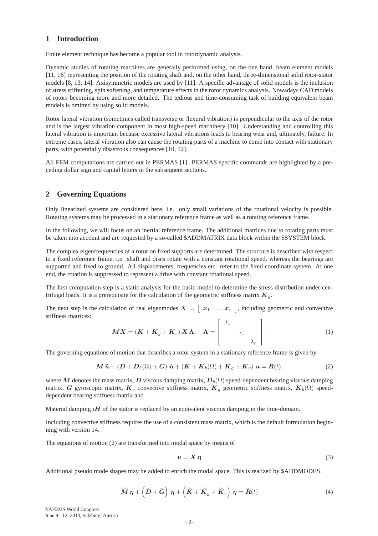## **1 Introduction**

Finite element technique has become a popular tool in rotordynamic analysis.

Dynamic studies of rotating machines are generally performed using, on the one hand, beam element models [11, 16] representing the position of the rotating shaft and, on the other hand, three-dimensional solid rotor-stator models [8, 13, 14]. Axisymmetric models are used by [11]. A specific advantage of solid models is the inclusion of stress stiffening, spin softening, and temperature effects in the rotor dynamics analysis. Nowadays CAD models of rotors becoming more and more detailed. The tedious and time-consuming task of building equivalent beam models is omitted by using solid models.

Rotor lateral vibration (sometimes called transverse or flexural vibration) is perpendicular to the axis of the rotor and is the largest vibration component in most high-speed machinery [10]. Understanding and controlling this lateral vibration is important because excessive lateral vibrations leads to bearing wear and, ultimately, failure. In extreme cases, lateral vibration also can cause the rotating parts of a machine to come into contact with stationary parts, with potentially disastrous consequences [10, 12].

All FEM computations are carried out in PERMAS [1]. PERMAS specific commands are highlighted by a preceding dollar sign and capital letters in the subsequent sections.

## **2 Governing Equations**

Only linearized systems are considered here, i.e. only small variations of the rotational velocity is possible. Rotating systems may be processed in a stationary reference frame as well as a rotating reference frame.

In the following, we will focus on an inertial reference frame. The additional matrices due to rotating parts must be taken into account and are requested by a so-called \$ADDMATRIX data block within the \$SYSTEM block.

The complex eigenfrequencies of a rotor on fixed supports are determined. The structure is described with respect to a fixed reference frame, i.e. shaft and discs rotate with a constant rotational speed, whereas the bearings are supported and fixed to ground. All displacements, frequencies etc. refer to the fixed coordinate system. At one end, the rotation is suppressed to represent a drive with constant rotational speed.

The first computation step is a static analysis for the basic model to determine the stress distribution under centrifugal loads. It is a prerequisite for the calculation of the geometric stiffness matrix  $K_g$ .

The next step is the calculation of real eigenmodes  $X = \begin{bmatrix} x_1 & \dots & x_r \end{bmatrix}$ , including geometric and convective stiffness matrices:

$$
MX = (K + K_g + K_c) \, X \, \Lambda, \quad \Lambda = \begin{bmatrix} \lambda_1 & & \\ & \ddots & \\ & & \lambda_r \end{bmatrix} . \tag{1}
$$

The governing equations of motion that describes a rotor system in a stationary reference frame is given by

$$
\boldsymbol{M}\ddot{\boldsymbol{u}} + (\boldsymbol{D} + \boldsymbol{D}_b(\Omega) + \boldsymbol{G})\dot{\boldsymbol{u}} + (\boldsymbol{K} + \boldsymbol{K}_b(\Omega) + \boldsymbol{K}_g + \boldsymbol{K}_c)\boldsymbol{u} = \boldsymbol{R}(t),
$$
\n(2)

where M denotes the mass matrix, D viscous damping matrix,  $D<sub>b</sub>(\Omega)$  speed-dependent bearing viscous damping matrix, G gyroscopic matrix,  $K_c$  convective stiffness matrix,  $K_q$  geometric stiffness matrix,  $K_b(\Omega)$  speeddependent bearing stiffness matrix and

Material damping  $H$  of the stator is replaced by an equivalent viscous damping in the time-domain.

Including convective stiffness requires the use of a consistent mass matrix, which is the default formulation beginning with version 14.

The equations of motion (2) are transformed into modal space by means of

$$
u = X \eta \tag{3}
$$

Additional pseudo mode shapes may be added to enrich the modal space. This is realized by \$ADDMODES.

$$
\widetilde{M}\ddot{\eta} + \left(\widetilde{D} + \widetilde{G}\right)\dot{\eta} + \left(\widetilde{K} + \widetilde{K}_g + \widetilde{K}_c\right)\eta = \widetilde{R}(t)
$$
\n(4)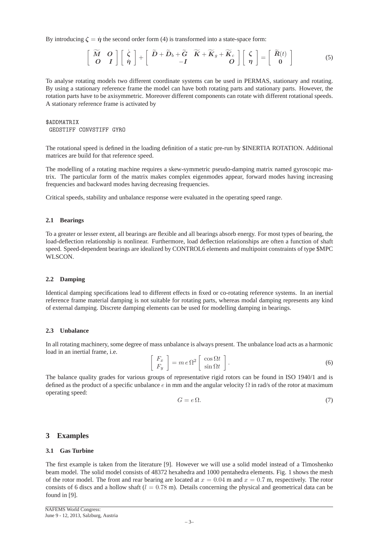By introducing  $\zeta = \dot{\eta}$  the second order form (4) is transformed into a state-space form:

$$
\begin{bmatrix}\n\widetilde{M} & O \\
O & I\n\end{bmatrix}\n\begin{bmatrix}\n\dot{\zeta} \\
\dot{\eta}\n\end{bmatrix} +\n\begin{bmatrix}\n\widetilde{D} + \widetilde{D}_b + \widetilde{G} & \widetilde{K} + \widetilde{K}_g + \widetilde{K}_c \\
-I & O\n\end{bmatrix}\n\begin{bmatrix}\n\zeta \\
\eta\n\end{bmatrix} =\n\begin{bmatrix}\n\widetilde{R}(t) \\
0\n\end{bmatrix}
$$
\n(5)

To analyse rotating models two different coordinate systems can be used in PERMAS, stationary and rotating. By using a stationary reference frame the model can have both rotating parts and stationary parts. However, the rotation parts have to be axisymmetric. Moreover different components can rotate with different rotational speeds. A stationary reference frame is activated by

## \$ADDMATRIX GEOSTIFF CONVSTIFF GYRO

The rotational speed is defined in the loading definition of a static pre-run by \$INERTIA ROTATION. Additional matrices are build for that reference speed.

The modelling of a rotating machine requires a skew-symmetric pseudo-damping matrix named gyroscopic matrix. The particular form of the matrix makes complex eigenmodes appear, forward modes having increasing frequencies and backward modes having decreasing frequencies.

Critical speeds, stability and unbalance response were evaluated in the operating speed range.

#### **2.1 Bearings**

To a greater or lesser extent, all bearings are flexible and all bearings absorb energy. For most types of bearing, the load-deflection relationship is nonlinear. Furthermore, load deflection relationships are often a function of shaft speed. Speed-dependent bearings are idealized by CONTROL6 elements and multipoint constraints of type \$MPC WLSCON.

#### **2.2 Damping**

Identical damping specifications lead to different effects in fixed or co-rotating reference systems. In an inertial reference frame material damping is not suitable for rotating parts, whereas modal damping represents any kind of external damping. Discrete damping elements can be used for modelling damping in bearings.

#### **2.3 Unbalance**

In all rotating machinery, some degree of mass unbalance is always present. The unbalance load acts as a harmonic load in an inertial frame, i.e.

$$
\begin{bmatrix} F_x \\ F_y \end{bmatrix} = m e \Omega^2 \begin{bmatrix} \cos \Omega t \\ \sin \Omega t \end{bmatrix}.
$$
 (6)

The balance quality grades for various groups of representative rigid rotors can be found in ISO 1940/1 and is defined as the product of a specific unbalance e in mm and the angular velocity  $\Omega$  in rad/s of the rotor at maximum operating speed:

$$
G = e \Omega. \tag{7}
$$

#### **3 Examples**

#### **3.1 Gas Turbine**

The first example is taken from the literature [9]. However we will use a solid model instead of a Timoshenko beam model. The solid model consists of 48372 hexahedra and 1000 pentahedra elements. Fig. 1 shows the mesh of the rotor model. The front and rear bearing are located at  $x = 0.04$  m and  $x = 0.7$  m, respectively. The rotor consists of 6 discs and a hollow shaft ( $l = 0.78$  m). Details concerning the physical and geometrical data can be found in [9].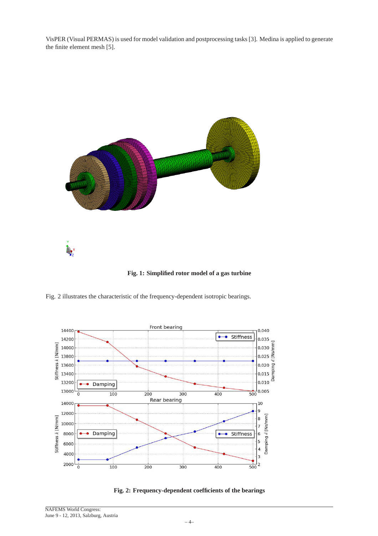VisPER (Visual PERMAS) is used for model validation and postprocessing tasks [3]. Medina is applied to generate the finite element mesh [5].



**Fig. 1: Simplified rotor model of a gas turbine**

Fig. 2 illustrates the characteristic of the frequency-dependent isotropic bearings.



**Fig. 2: Frequency-dependent coefficients of the bearings**

NAFEMS World Congress: June 9 - 12, 2013, Salzburg, Austria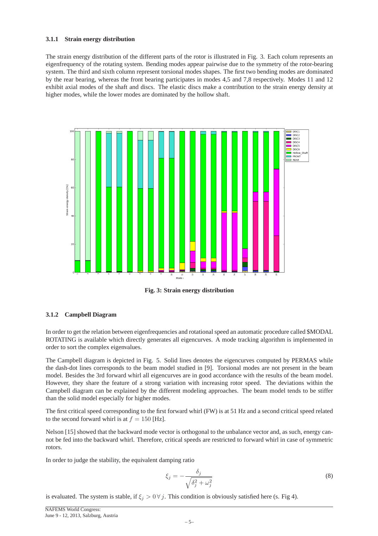#### **3.1.1 Strain energy distribution**

The strain energy distribution of the different parts of the rotor is illustrated in Fig. 3. Each colum represents an eigenfrequency of the rotating system. Bending modes appear pairwise due to the symmetry of the rotor-bearing system. The third and sixth column represent torsional modes shapes. The first two bending modes are dominated by the rear bearing, whereas the front bearing participates in modes 4,5 and 7,8 respectively. Modes 11 and 12 exhibit axial modes of the shaft and discs. The elastic discs make a contribution to the strain energy density at higher modes, while the lower modes are dominated by the hollow shaft.



**Fig. 3: Strain energy distribution**

## **3.1.2 Campbell Diagram**

In order to get the relation between eigenfrequencies and rotational speed an automatic procedure called \$MODAL ROTATING is available which directly generates all eigencurves. A mode tracking algorithm is implemented in order to sort the complex eigenvalues.

The Campbell diagram is depicted in Fig. 5. Solid lines denotes the eigencurves computed by PERMAS while the dash-dot lines corresponds to the beam model studied in [9]. Torsional modes are not present in the beam model. Besides the 3rd forward whirl all eigencurves are in good accordance with the results of the beam model. However, they share the feature of a strong variation with increasing rotor speed. The deviations within the Campbell diagram can be explained by the different modeling approaches. The beam model tends to be stiffer than the solid model especially for higher modes.

The first critical speed corresponding to the first forward whirl (FW) is at 51 Hz and a second critical speed related to the second forward whirl is at  $f = 150$  [Hz].

Nelson [15] showed that the backward mode vector is orthogonal to the unbalance vector and, as such, energy cannot be fed into the backward whirl. Therefore, critical speeds are restricted to forward whirl in case of symmetric rotors.

In order to judge the stability, the equivalent damping ratio

$$
\xi_j = -\frac{\delta_j}{\sqrt{\delta_j^2 + \omega_j^2}}\tag{8}
$$

is evaluated. The system is stable, if  $\xi_j > 0 \forall j$ . This condition is obviously satisfied here (s. Fig 4).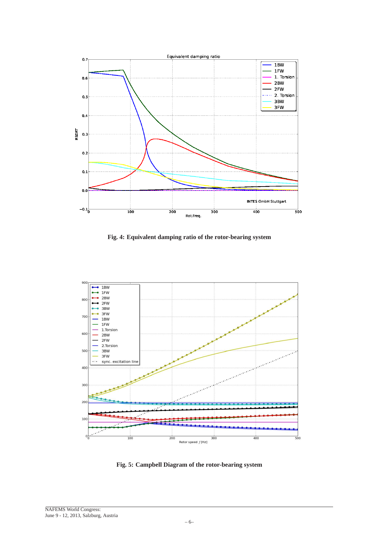

**Fig. 4: Equivalent damping ratio of the rotor-bearing system**



**Fig. 5: Campbell Diagram of the rotor-bearing system**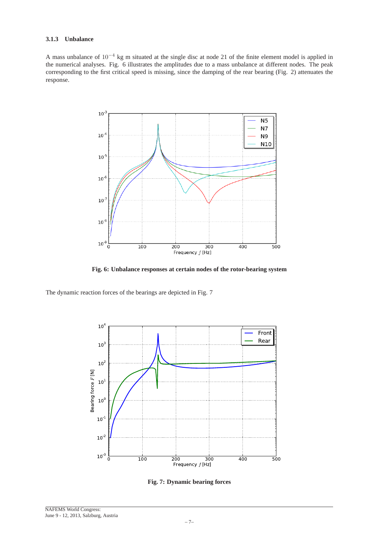## **3.1.3 Unbalance**

A mass unbalance of 10−<sup>4</sup> kg m situated at the single disc at node 21 of the finite element model is applied in the numerical analyses. Fig. 6 illustrates the amplitudes due to a mass unbalance at different nodes. The peak corresponding to the first critical speed is missing, since the damping of the rear bearing (Fig. 2) attenuates the response.



**Fig. 6: Unbalance responses at certain nodes of the rotor-bearing system**

The dynamic reaction forces of the bearings are depicted in Fig. 7



**Fig. 7: Dynamic bearing forces**

NAFEMS World Congress: June 9 - 12, 2013, Salzburg, Austria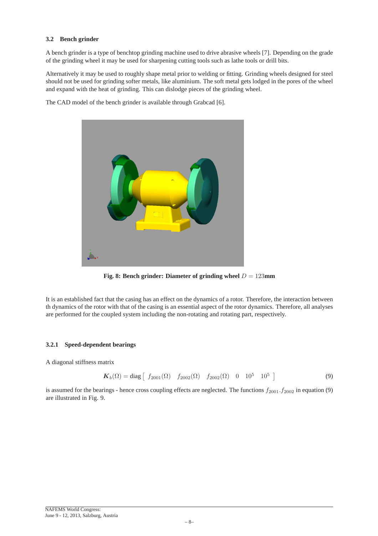## **3.2 Bench grinder**

A bench grinder is a type of benchtop grinding machine used to drive abrasive wheels [7]. Depending on the grade of the grinding wheel it may be used for sharpening cutting tools such as lathe tools or drill bits.

Alternatively it may be used to roughly shape metal prior to welding or fitting. Grinding wheels designed for steel should not be used for grinding softer metals, like aluminium. The soft metal gets lodged in the pores of the wheel and expand with the heat of grinding. This can dislodge pieces of the grinding wheel.

The CAD model of the bench grinder is available through Grabcad [6].



**Fig. 8: Bench grinder: Diameter of grinding wheel**  $D = 123$ mm

It is an established fact that the casing has an effect on the dynamics of a rotor. Therefore, the interaction between th dynamics of the rotor with that of the casing is an essential aspect of the rotor dynamics. Therefore, all analyses are performed for the coupled system including the non-rotating and rotating part, respectively.

# **3.2.1 Speed-dependent bearings**

A diagonal stiffness matrix

$$
\boldsymbol{K}_b(\Omega) = \text{diag} \begin{bmatrix} f_{2001}(\Omega) & f_{2002}(\Omega) & f_{2002}(\Omega) & 0 & 10^5 & 10^5 \end{bmatrix}
$$
 (9)

is assumed for the bearings - hence cross coupling effects are neglected. The functions  $f_{2001}$ .  $f_{2002}$  in equation (9) are illustrated in Fig. 9.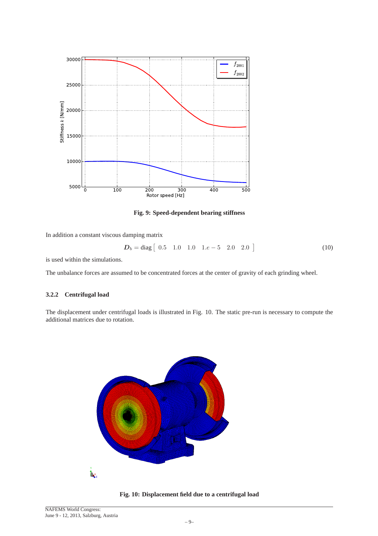

**Fig. 9: Speed-dependent bearing stiffness**

In addition a constant viscous damping matrix

$$
D_b = \text{diag} \begin{bmatrix} 0.5 & 1.0 & 1.0 & 1.e - 5 & 2.0 & 2.0 \end{bmatrix}
$$
 (10)

is used within the simulations.

The unbalance forces are assumed to be concentrated forces at the center of gravity of each grinding wheel.

#### **3.2.2 Centrifugal load**

The displacement under centrifugal loads is illustrated in Fig. 10. The static pre-run is necessary to compute the additional matrices due to rotation.



**Fig. 10: Displacement field due to a centrifugal load**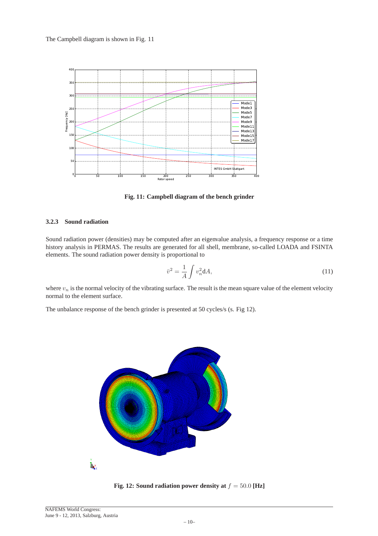

**Fig. 11: Campbell diagram of the bench grinder**

### **3.2.3 Sound radiation**

Sound radiation power (densities) may be computed after an eigenvalue analysis, a frequency response or a time history analysis in PERMAS. The results are generated for all shell, membrane, so-called LOADA and FSINTA elements. The sound radiation power density is proportional to

$$
\bar{v}^2 = \frac{1}{A} \int v_n^2 \mathrm{d}A,\tag{11}
$$

where  $v_n$  is the normal velocity of the vibrating surface. The result is the mean square value of the element velocity normal to the element surface.

The unbalance response of the bench grinder is presented at 50 cycles/s (s. Fig 12).



**Fig. 12: Sound radiation power density at**  $f = 50.0$  [Hz]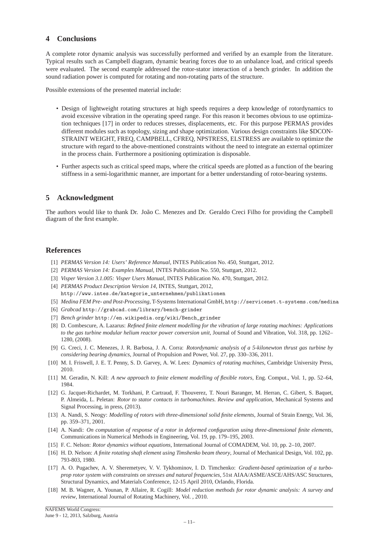## **4 Conclusions**

A complete rotor dynamic analysis was successfully performed and verified by an example from the literature. Typical results such as Campbell diagram, dynamic bearing forces due to an unbalance load, and critical speeds were evaluated. The second example addressed the rotor-stator interaction of a bench grinder. In addition the sound radiation power is computed for rotating and non-rotating parts of the structure.

Possible extensions of the presented material include:

- Design of lightweight rotating structures at high speeds requires a deep knowledge of rotordynamics to avoid excessive vibration in the operating speed range. For this reason it becomes obvious to use optimization techniques [17] in order to reduces stresses, displacements, etc. For this purpose PERMAS provides different modules such as topology, sizing and shape optimization. Various design constraints like \$DCON-STRAINT WEIGHT, FREQ, CAMPBELL, CFREQ, NPSTRESS, ELSTRESS are available to optimize the structure with regard to the above-mentioned constraints without the need to integrate an external optimizer in the process chain. Furthermore a positioning optimization is disposable.
- Further aspects such as critical speed maps, where the critical speeds are plotted as a function of the bearing stiffness in a semi-logarithmic manner, are important for a better understanding of rotor-bearing systems.

## **5 Acknowledgment**

The authors would like to thank Dr. João C. Menezes and Dr. Geraldo Creci Filho for providing the Campbell diagram of the first example.

## **References**

- [1] *PERMAS Version 14: Users' Reference Manual*, INTES Publication No. 450, Stuttgart, 2012.
- [2] *PERMAS Version 14: Examples Manual*, INTES Publication No. 550, Stuttgart, 2012.
- [3] *Visper Version 3.1.005: Visper Users Manual*, INTES Publication No. 470, Stuttgart, 2012.
- [4] *PERMAS Product Description Version 14*, INTES, Stuttgart, 2012, http://www.intes.de/kategorie\_unternehmen/publikationen
- [5] *Medina FEM Pre- and Post-Processing*, T-Systems International GmbH, http://servicenet.t-systems.com/medina
- [6] *Grabcad* http://grabcad.com/library/bench-grinder
- [7] *Bench grinder* http://en.wikipedia.org/wiki/Bench\_grinder
- [8] D. Combescure, A. Lazarus: *Refined finite element modelling for the vibration of large rotating machines: Applications to the gas turbine modular helium reactor power conversion unit*, Journal of Sound and Vibration, Vol. 318, pp. 1262– 1280, (2008).
- [9] G. Creci, J. C. Menezes, J. R. Barbosa, J. A. Corra: *Rotordynamic analysis of a 5-kilonewton thrust gas turbine by considering bearing dynamics*, Journal of Propulsion and Power, Vol. 27, pp. 330–336, 2011.
- [10] M. I. Friswell, J. E. T. Penny, S. D. Garvey, A. W. Lees: *Dynamics of rotating machines*, Cambridge University Press, 2010.
- [11] M. Geradin, N. Kill: *A new approach to finite element modelling of flexible rotors*, Eng. Comput., Vol. 1, pp. 52–64, 1984.
- [12] G. Jacquet-Richardet, M. Torkhani, P. Cartraud, F. Thouverez, T. Nouri Baranger, M. Herran, C. Gibert, S. Baquet, P. Almeida, L. Peletan: *Rotor to stator contacts in turbomachines. Review and application*, Mechanical Systems and Signal Processing, in press, (2013).
- [13] A. Nandi, S. Neogy: *Modelling of rotors with three-dimensional solid finite elements*, Journal of Strain Energy, Vol. 36, pp. 359–371, 2001.
- [14] A. Nandi: *On computation of response of a rotor in deformed configuration using three-dimensional finite elements*, Communications in Numerical Methods in Engineering, Vol. 19, pp. 179–195, 2003.
- [15] F. C. Nelson: *Rotor dynamics without equations*, International Journal of COMADEM, Vol. 10, pp. 2–10, 2007.
- [16] H. D. Nelson: *A finite rotating shaft element using Timshenko beam theory*, Journal of Mechanical Design, Vol. 102, pp. 793-803, 1980.
- [17] A. O. Pugachev, A. V. Sheremetyev, V. V. Tykhominov, I. D. Timchenko: *Gradient-based optimization of a turboprop rotor system with constraints on stresses and natural frequencies*, 51st AIAA/ASME/ASCE/AHS/ASC Structures, Structural Dynamics, and Materials Conference, 12-15 April 2010, Orlando, Florida.
- [18] M. B. Wagner, A. Younan, P. Allaire, R. Cogill: *Model reduction methods for rotor dynamic analysis: A survey and review*, International Journal of Rotating Machinery, Vol. , 2010.